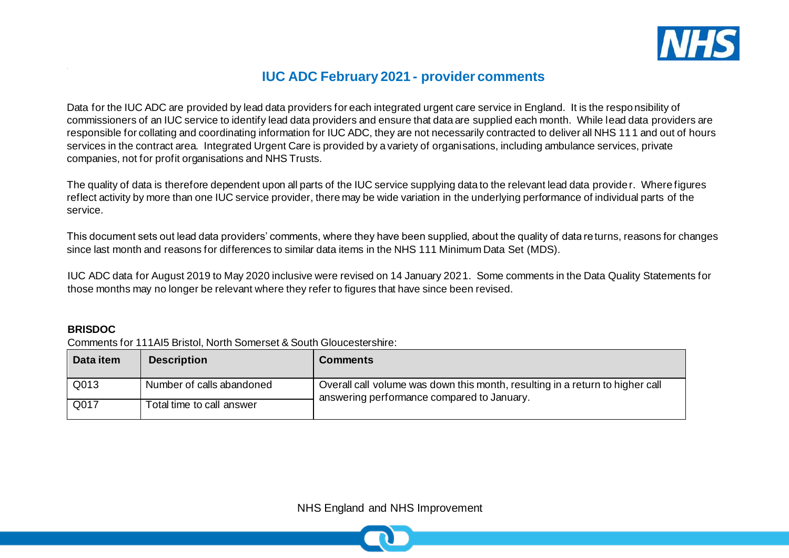

# **IUC ADC February 2021 - provider comments**

Data for the IUC ADC are provided by lead data providers for each integrated urgent care service in England. It is the responsibility of commissioners of an IUC service to identify lead data providers and ensure that data are supplied each month. While lead data providers are responsible for collating and coordinating information for IUC ADC, they are not necessarily contracted to deliver all NHS 111 and out of hours services in the contract area. Integrated Urgent Care is provided by a variety of organisations, including ambulance services, private companies, not for profit organisations and NHS Trusts.

The quality of data is therefore dependent upon all parts of the IUC service supplying data to the relevant lead data provider. Where figures reflect activity by more than one IUC service provider, there may be wide variation in the underlying performance of individual parts of the service.

This document sets out lead data providers' comments, where they have been supplied, about the quality of data returns, reasons for changes since last month and reasons for differences to similar data items in the NHS 111 Minimum Data Set (MDS).

IUC ADC data for August 2019 to May 2020 inclusive were revised on 14 January 2021. Some comments in the Data Quality Statements for those months may no longer be relevant where they refer to figures that have since been revised.

#### **BRISDOC**

Comments for 111AI5 Bristol, North Somerset & South Gloucestershire:

| Data item | <b>Description</b>        | <b>Comments</b>                                                                                                             |
|-----------|---------------------------|-----------------------------------------------------------------------------------------------------------------------------|
| Q013      | Number of calls abandoned | Overall call volume was down this month, resulting in a return to higher call<br>answering performance compared to January. |
| Q017      | Total time to call answer |                                                                                                                             |

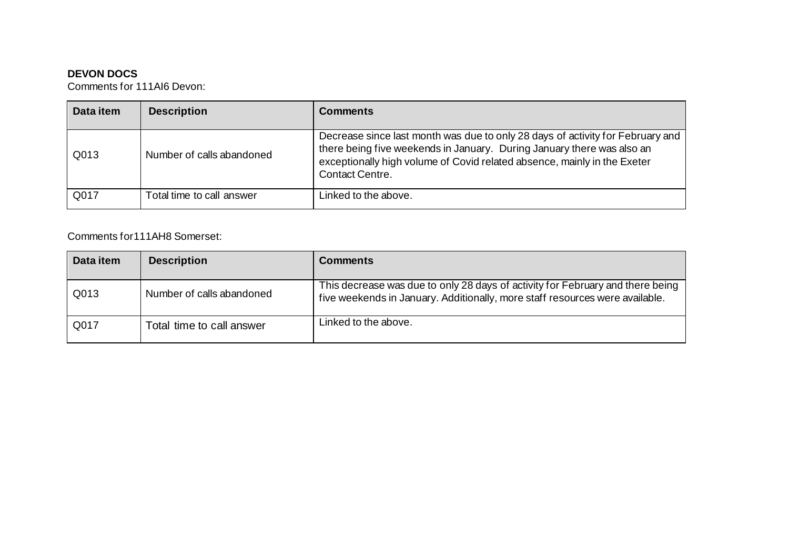## **DEVON DOCS**

Comments for 111AI6 Devon:

| Data item | <b>Description</b>        | <b>Comments</b>                                                                                                                                                                                                                                         |
|-----------|---------------------------|---------------------------------------------------------------------------------------------------------------------------------------------------------------------------------------------------------------------------------------------------------|
| Q013      | Number of calls abandoned | Decrease since last month was due to only 28 days of activity for February and<br>there being five weekends in January. During January there was also an<br>exceptionally high volume of Covid related absence, mainly in the Exeter<br>Contact Centre. |
| Q017      | Total time to call answer | Linked to the above.                                                                                                                                                                                                                                    |

# Comments for111AH8 Somerset:

| Data item | <b>Description</b>        | <b>Comments</b>                                                                                                                                                |
|-----------|---------------------------|----------------------------------------------------------------------------------------------------------------------------------------------------------------|
| Q013      | Number of calls abandoned | This decrease was due to only 28 days of activity for February and there being<br>five weekends in January. Additionally, more staff resources were available. |
| Q017      | Total time to call answer | Linked to the above.                                                                                                                                           |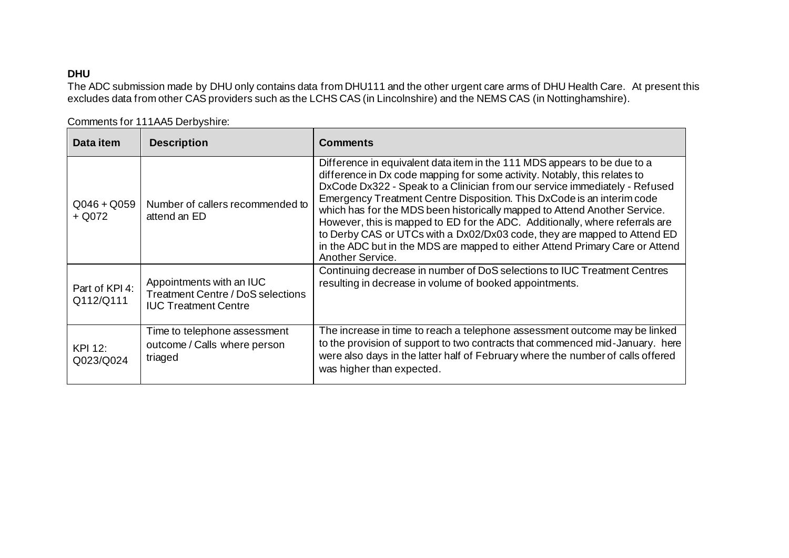## **DHU**

The ADC submission made by DHU only contains data from DHU111 and the other urgent care arms of DHU Health Care. At present this excludes data from other CAS providers such as the LCHS CAS (in Lincolnshire) and the NEMS CAS (in Nottinghamshire).

| Data item                   | <b>Description</b>                                                                                  | <b>Comments</b>                                                                                                                                                                                                                                                                                                                                                                                                                                                                                                                                                                                                                                            |
|-----------------------------|-----------------------------------------------------------------------------------------------------|------------------------------------------------------------------------------------------------------------------------------------------------------------------------------------------------------------------------------------------------------------------------------------------------------------------------------------------------------------------------------------------------------------------------------------------------------------------------------------------------------------------------------------------------------------------------------------------------------------------------------------------------------------|
| $Q046 + Q059$<br>$+$ Q072   | Number of callers recommended to<br>attend an ED                                                    | Difference in equivalent data item in the 111 MDS appears to be due to a<br>difference in Dx code mapping for some activity. Notably, this relates to<br>DxCode Dx322 - Speak to a Clinician from our service immediately - Refused<br>Emergency Treatment Centre Disposition. This DxCode is an interim code<br>which has for the MDS been historically mapped to Attend Another Service.<br>However, this is mapped to ED for the ADC. Additionally, where referrals are<br>to Derby CAS or UTCs with a Dx02/Dx03 code, they are mapped to Attend ED<br>in the ADC but in the MDS are mapped to either Attend Primary Care or Attend<br>Another Service. |
| Part of KPI 4:<br>Q112/Q111 | Appointments with an IUC<br><b>Treatment Centre / DoS selections</b><br><b>IUC Treatment Centre</b> | Continuing decrease in number of DoS selections to IUC Treatment Centres<br>resulting in decrease in volume of booked appointments.                                                                                                                                                                                                                                                                                                                                                                                                                                                                                                                        |
| KPI 12:<br>Q023/Q024        | Time to telephone assessment<br>outcome / Calls where person<br>triaged                             | The increase in time to reach a telephone assessment outcome may be linked<br>to the provision of support to two contracts that commenced mid-January. here<br>were also days in the latter half of February where the number of calls offered<br>was higher than expected.                                                                                                                                                                                                                                                                                                                                                                                |

Comments for 111AA5 Derbyshire: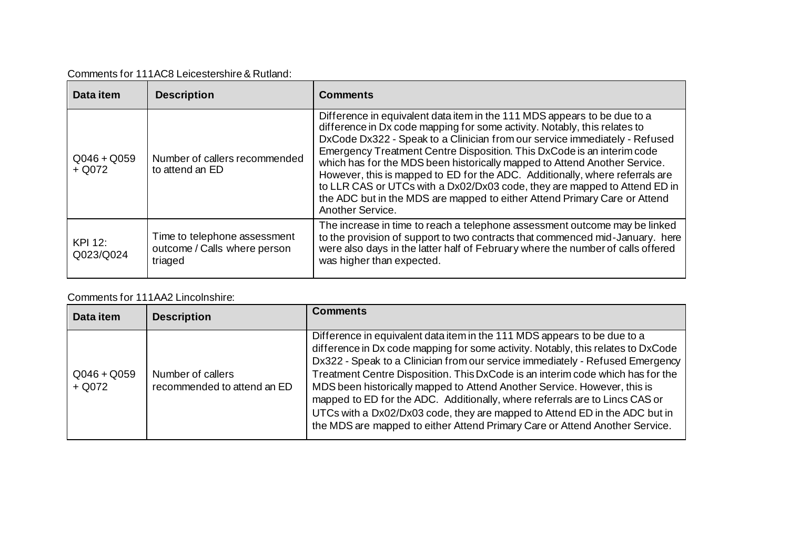| Data item                 | <b>Description</b>                                                      | <b>Comments</b>                                                                                                                                                                                                                                                                                                                                                                                                                                                                                                                                                                                                                                          |
|---------------------------|-------------------------------------------------------------------------|----------------------------------------------------------------------------------------------------------------------------------------------------------------------------------------------------------------------------------------------------------------------------------------------------------------------------------------------------------------------------------------------------------------------------------------------------------------------------------------------------------------------------------------------------------------------------------------------------------------------------------------------------------|
| $Q046 + Q059$<br>$+$ Q072 | Number of callers recommended<br>to attend an ED                        | Difference in equivalent data item in the 111 MDS appears to be due to a<br>difference in Dx code mapping for some activity. Notably, this relates to<br>DxCode Dx322 - Speak to a Clinician from our service immediately - Refused<br>Emergency Treatment Centre Disposition. This DxCode is an interim code<br>which has for the MDS been historically mapped to Attend Another Service.<br>However, this is mapped to ED for the ADC. Additionally, where referrals are<br>to LLR CAS or UTCs with a Dx02/Dx03 code, they are mapped to Attend ED in<br>the ADC but in the MDS are mapped to either Attend Primary Care or Attend<br>Another Service. |
| KPI 12:<br>Q023/Q024      | Time to telephone assessment<br>outcome / Calls where person<br>triaged | The increase in time to reach a telephone assessment outcome may be linked<br>to the provision of support to two contracts that commenced mid-January. here<br>were also days in the latter half of February where the number of calls offered<br>was higher than expected.                                                                                                                                                                                                                                                                                                                                                                              |

### Comments for 111AA2 Lincolnshire:

| Data item                 | <b>Description</b>                               | <b>Comments</b>                                                                                                                                                                                                                                                                                                                                                                                                                                                                                                                                                                                                                                         |
|---------------------------|--------------------------------------------------|---------------------------------------------------------------------------------------------------------------------------------------------------------------------------------------------------------------------------------------------------------------------------------------------------------------------------------------------------------------------------------------------------------------------------------------------------------------------------------------------------------------------------------------------------------------------------------------------------------------------------------------------------------|
| $Q046 + Q059$<br>$+$ Q072 | Number of callers<br>recommended to attend an ED | Difference in equivalent data item in the 111 MDS appears to be due to a<br>difference in Dx code mapping for some activity. Notably, this relates to DxCode<br>Dx322 - Speak to a Clinician from our service immediately - Refused Emergency<br>Treatment Centre Disposition. This DxCode is an interim code which has for the<br>MDS been historically mapped to Attend Another Service. However, this is<br>mapped to ED for the ADC. Additionally, where referrals are to Lincs CAS or<br>UTCs with a Dx02/Dx03 code, they are mapped to Attend ED in the ADC but in<br>the MDS are mapped to either Attend Primary Care or Attend Another Service. |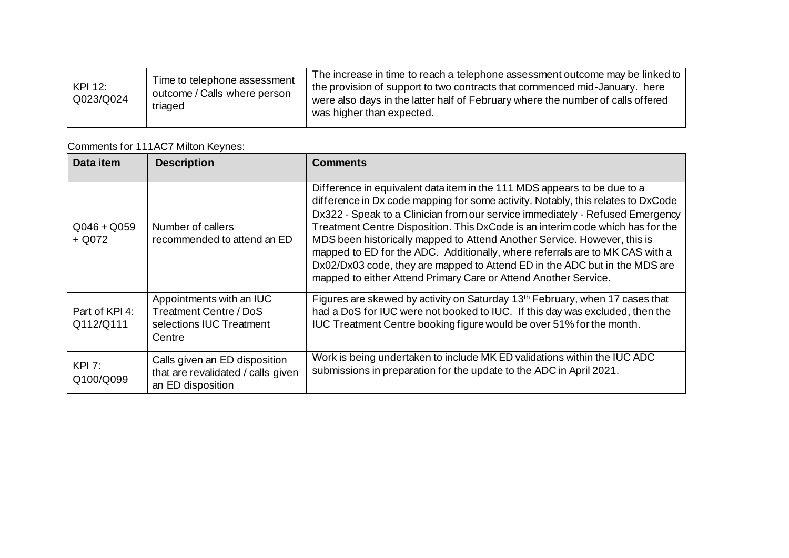| <b>KPI 12:</b><br>Q023/Q024 | Time to telephone assessment<br>outcome / Calls where person<br>triaged | The increase in time to reach a telephone assessment outcome may be linked to<br>the provision of support to two contracts that commenced mid-January. here<br>were also days in the latter half of February where the number of calls offered<br>was higher than expected. |
|-----------------------------|-------------------------------------------------------------------------|-----------------------------------------------------------------------------------------------------------------------------------------------------------------------------------------------------------------------------------------------------------------------------|
|-----------------------------|-------------------------------------------------------------------------|-----------------------------------------------------------------------------------------------------------------------------------------------------------------------------------------------------------------------------------------------------------------------------|

# Comments for 111AC7 Milton Keynes:

| Data item                   | <b>Description</b>                                                                       | <b>Comments</b>                                                                                                                                                                                                                                                                                                                                                                                                                                                                                                                                                                                                                              |
|-----------------------------|------------------------------------------------------------------------------------------|----------------------------------------------------------------------------------------------------------------------------------------------------------------------------------------------------------------------------------------------------------------------------------------------------------------------------------------------------------------------------------------------------------------------------------------------------------------------------------------------------------------------------------------------------------------------------------------------------------------------------------------------|
| $Q046 + Q059$<br>$+$ Q072   | Number of callers<br>recommended to attend an ED                                         | Difference in equivalent data item in the 111 MDS appears to be due to a<br>difference in Dx code mapping for some activity. Notably, this relates to DxCode<br>Dx322 - Speak to a Clinician from our service immediately - Refused Emergency<br>Treatment Centre Disposition. This DxCode is an interim code which has for the<br>MDS been historically mapped to Attend Another Service. However, this is<br>mapped to ED for the ADC. Additionally, where referrals are to MK CAS with a<br>Dx02/Dx03 code, they are mapped to Attend ED in the ADC but in the MDS are<br>mapped to either Attend Primary Care or Attend Another Service. |
| Part of KPI 4:<br>Q112/Q111 | Appointments with an IUC<br>Treatment Centre / DoS<br>selections IUC Treatment<br>Centre | Figures are skewed by activity on Saturday 13th February, when 17 cases that<br>had a DoS for IUC were not booked to IUC. If this day was excluded, then the<br>IUC Treatment Centre booking figure would be over 51% for the month.                                                                                                                                                                                                                                                                                                                                                                                                         |
| KPI 7:<br>Q100/Q099         | Calls given an ED disposition<br>that are revalidated / calls given<br>an ED disposition | Work is being undertaken to include MK ED validations within the IUC ADC<br>submissions in preparation for the update to the ADC in April 2021.                                                                                                                                                                                                                                                                                                                                                                                                                                                                                              |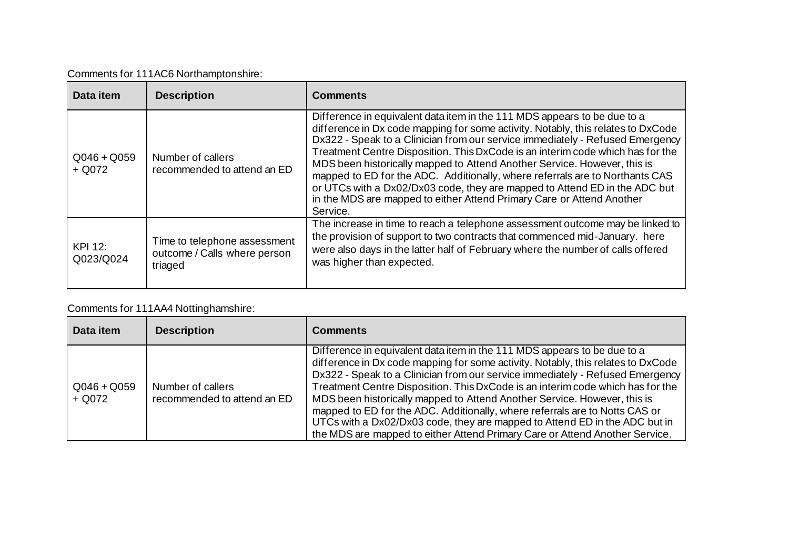|  |  | Comments for 111AC6 Northamptonshire: |
|--|--|---------------------------------------|
|--|--|---------------------------------------|

| Data item                   | <b>Description</b>                                                      | <b>Comments</b>                                                                                                                                                                                                                                                                                                                                                                                                                                                                                                                                                                                                                                                |
|-----------------------------|-------------------------------------------------------------------------|----------------------------------------------------------------------------------------------------------------------------------------------------------------------------------------------------------------------------------------------------------------------------------------------------------------------------------------------------------------------------------------------------------------------------------------------------------------------------------------------------------------------------------------------------------------------------------------------------------------------------------------------------------------|
| $Q046 + Q059$<br>$+$ Q072   | Number of callers<br>recommended to attend an ED                        | Difference in equivalent data item in the 111 MDS appears to be due to a<br>difference in Dx code mapping for some activity. Notably, this relates to DxCode<br>Dx322 - Speak to a Clinician from our service immediately - Refused Emergency<br>Treatment Centre Disposition. This DxCode is an interim code which has for the<br>MDS been historically mapped to Attend Another Service. However, this is<br>mapped to ED for the ADC. Additionally, where referrals are to Northants CAS<br>or UTCs with a Dx02/Dx03 code, they are mapped to Attend ED in the ADC but<br>in the MDS are mapped to either Attend Primary Care or Attend Another<br>Service. |
| <b>KPI 12:</b><br>Q023/Q024 | Time to telephone assessment<br>outcome / Calls where person<br>triaged | The increase in time to reach a telephone assessment outcome may be linked to<br>the provision of support to two contracts that commenced mid-January. here<br>were also days in the latter half of February where the number of calls offered<br>was higher than expected.                                                                                                                                                                                                                                                                                                                                                                                    |

# Comments for 111AA4 Nottinghamshire:

| Data item               | <b>Description</b>                               | <b>Comments</b>                                                                                                                                                                                                                                                                                                                                                                                                                                                                                                                                                                                                                                         |
|-------------------------|--------------------------------------------------|---------------------------------------------------------------------------------------------------------------------------------------------------------------------------------------------------------------------------------------------------------------------------------------------------------------------------------------------------------------------------------------------------------------------------------------------------------------------------------------------------------------------------------------------------------------------------------------------------------------------------------------------------------|
| $Q046 + Q059$<br>+ Q072 | Number of callers<br>recommended to attend an ED | Difference in equivalent data item in the 111 MDS appears to be due to a<br>difference in Dx code mapping for some activity. Notably, this relates to DxCode<br>Dx322 - Speak to a Clinician from our service immediately - Refused Emergency<br>Treatment Centre Disposition. This DxCode is an interim code which has for the<br>MDS been historically mapped to Attend Another Service. However, this is<br>mapped to ED for the ADC. Additionally, where referrals are to Notts CAS or<br>UTCs with a Dx02/Dx03 code, they are mapped to Attend ED in the ADC but in<br>the MDS are mapped to either Attend Primary Care or Attend Another Service. |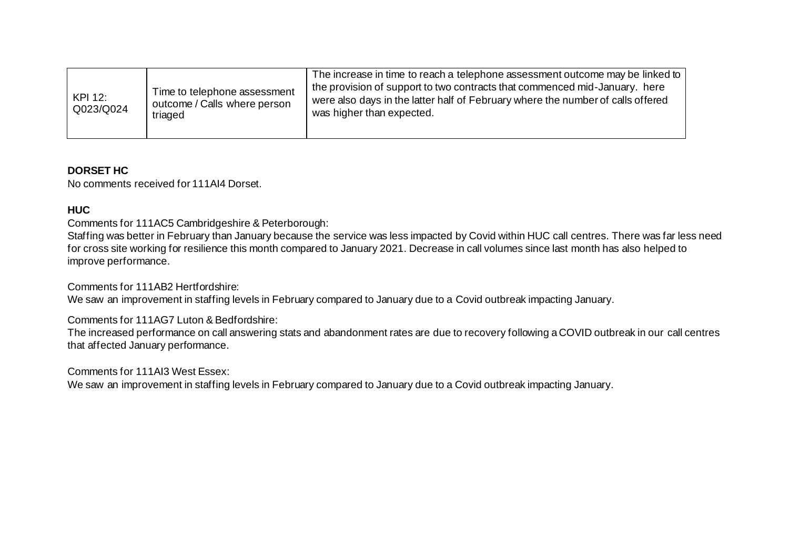| KPI 12:<br>Q023/Q024 | Time to telephone assessment<br>outcome / Calls where person<br>triaged | The increase in time to reach a telephone assessment outcome may be linked to<br>the provision of support to two contracts that commenced mid-January. here<br>were also days in the latter half of February where the number of calls offered<br>was higher than expected. |
|----------------------|-------------------------------------------------------------------------|-----------------------------------------------------------------------------------------------------------------------------------------------------------------------------------------------------------------------------------------------------------------------------|
|----------------------|-------------------------------------------------------------------------|-----------------------------------------------------------------------------------------------------------------------------------------------------------------------------------------------------------------------------------------------------------------------------|

#### **DORSET HC**

No comments received for 111AI4 Dorset.

### **HUC**

Comments for 111AC5 Cambridgeshire & Peterborough:

Staffing was better in February than January because the service was less impacted by Covid within HUC call centres. There was far less need for cross site working for resilience this month compared to January 2021. Decrease in call volumes since last month has also helped to improve performance.

Comments for 111AB2 Hertfordshire:

We saw an improvement in staffing levels in February compared to January due to a Covid outbreak impacting January.

Comments for 111AG7 Luton & Bedfordshire:

The increased performance on call answering stats and abandonment rates are due to recovery following a COVID outbreak in our call centres that affected January performance.

Comments for 111AI3 West Essex:

We saw an improvement in staffing levels in February compared to January due to a Covid outbreak impacting January.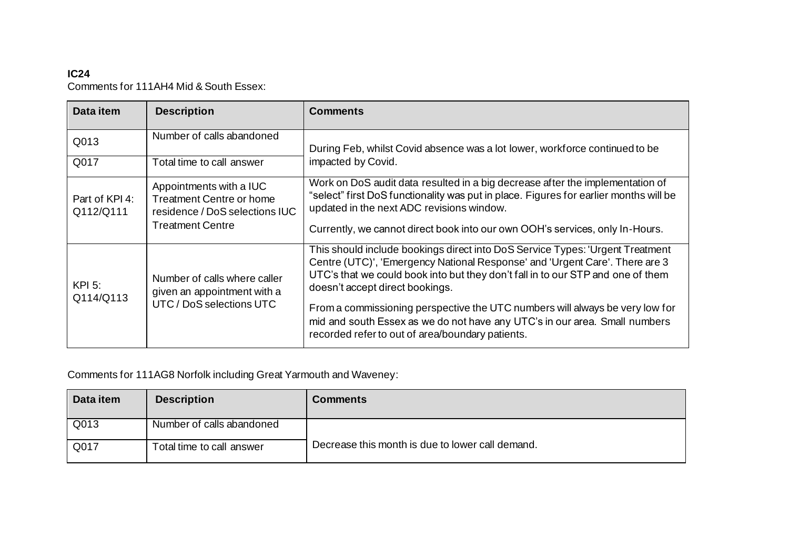# **IC24** Comments for 111AH4 Mid & South Essex:

| Data item                   | <b>Description</b>                                                                                                      | <b>Comments</b>                                                                                                                                                                                                                                                                    |
|-----------------------------|-------------------------------------------------------------------------------------------------------------------------|------------------------------------------------------------------------------------------------------------------------------------------------------------------------------------------------------------------------------------------------------------------------------------|
| Q013                        | Number of calls abandoned                                                                                               | During Feb, whilst Covid absence was a lot lower, workforce continued to be                                                                                                                                                                                                        |
| Q017                        | Total time to call answer                                                                                               | impacted by Covid.                                                                                                                                                                                                                                                                 |
| Part of KPI 4:<br>Q112/Q111 | Appointments with a IUC<br><b>Treatment Centre or home</b><br>residence / DoS selections IUC<br><b>Treatment Centre</b> | Work on DoS audit data resulted in a big decrease after the implementation of<br>"select" first DoS functionality was put in place. Figures for earlier months will be<br>updated in the next ADC revisions window.                                                                |
|                             |                                                                                                                         | Currently, we cannot direct book into our own OOH's services, only In-Hours.                                                                                                                                                                                                       |
| $KPI$ 5:<br>Q114/Q113       | Number of calls where caller<br>given an appointment with a<br>UTC / DoS selections UTC                                 | This should include bookings direct into DoS Service Types: 'Urgent Treatment<br>Centre (UTC)', 'Emergency National Response' and 'Urgent Care'. There are 3<br>UTC's that we could book into but they don't fall in to our STP and one of them<br>doesn't accept direct bookings. |
|                             |                                                                                                                         | From a commissioning perspective the UTC numbers will always be very low for<br>mid and south Essex as we do not have any UTC's in our area. Small numbers<br>recorded refer to out of area/boundary patients.                                                                     |

Comments for 111AG8 Norfolk including Great Yarmouth and Waveney:

| Data item | <b>Description</b>        | <b>Comments</b>                                  |
|-----------|---------------------------|--------------------------------------------------|
| Q013      | Number of calls abandoned |                                                  |
| Q017      | Total time to call answer | Decrease this month is due to lower call demand. |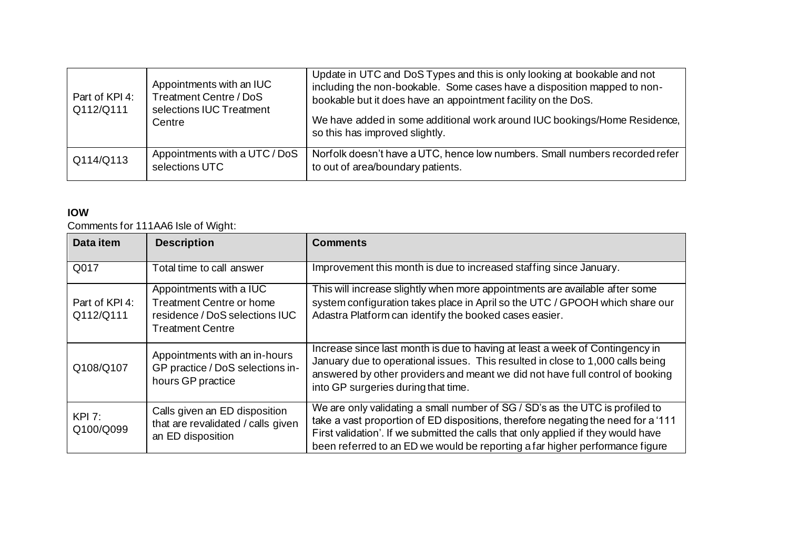| Part of KPI 4:<br>Q112/Q111 | Appointments with an IUC<br>Treatment Centre / DoS<br>selections IUC Treatment<br>Centre | Update in UTC and DoS Types and this is only looking at bookable and not<br>including the non-bookable. Some cases have a disposition mapped to non-<br>bookable but it does have an appointment facility on the DoS.<br>We have added in some additional work around IUC bookings/Home Residence,<br>so this has improved slightly. |
|-----------------------------|------------------------------------------------------------------------------------------|--------------------------------------------------------------------------------------------------------------------------------------------------------------------------------------------------------------------------------------------------------------------------------------------------------------------------------------|
| Q114/Q113                   | Appointments with a UTC / DoS<br>selections UTC                                          | Norfolk doesn't have a UTC, hence low numbers. Small numbers recorded refer<br>to out of area/boundary patients.                                                                                                                                                                                                                     |

## **IOW**

Comments for 111AA6 Isle of Wight:

| Data item                   | <b>Description</b>                                                                                               | <b>Comments</b>                                                                                                                                                                                                                                                                                                                        |
|-----------------------------|------------------------------------------------------------------------------------------------------------------|----------------------------------------------------------------------------------------------------------------------------------------------------------------------------------------------------------------------------------------------------------------------------------------------------------------------------------------|
| Q017                        | Total time to call answer                                                                                        | Improvement this month is due to increased staffing since January.                                                                                                                                                                                                                                                                     |
| Part of KPI 4:<br>Q112/Q111 | Appointments with a IUC<br><b>Treatment Centre or home</b><br>residence / DoS selections IUC<br>Treatment Centre | This will increase slightly when more appointments are available after some<br>system configuration takes place in April so the UTC / GPOOH which share our<br>Adastra Platform can identify the booked cases easier.                                                                                                                  |
| Q108/Q107                   | Appointments with an in-hours<br>GP practice / DoS selections in-<br>hours GP practice                           | Increase since last month is due to having at least a week of Contingency in<br>January due to operational issues. This resulted in close to 1,000 calls being<br>answered by other providers and meant we did not have full control of booking<br>into GP surgeries during that time.                                                 |
| KPI 7:<br>Q100/Q099         | Calls given an ED disposition<br>that are revalidated / calls given<br>an ED disposition                         | We are only validating a small number of SG / SD's as the UTC is profiled to<br>take a vast proportion of ED dispositions, therefore negating the need for a '111<br>First validation'. If we submitted the calls that only applied if they would have<br>been referred to an ED we would be reporting a far higher performance figure |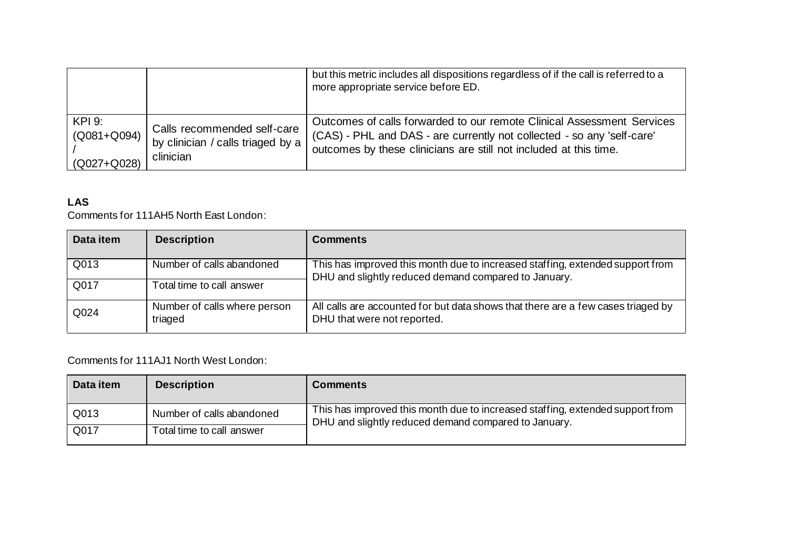|                 |                                     | but this metric includes all dispositions regardless of if the call is referred to a<br>more appropriate service before ED. |
|-----------------|-------------------------------------|-----------------------------------------------------------------------------------------------------------------------------|
| <b>KPI 9:</b>   | Calls recommended self-care         | Outcomes of calls forwarded to our remote Clinical Assessment Services                                                      |
| $(Q081 + Q094)$ | by clinician / calls triaged by a ! | (CAS) - PHL and DAS - are currently not collected - so any 'self-care'                                                      |
| $(Q027 + Q028)$ | clinician                           | outcomes by these clinicians are still not included at this time.                                                           |

# **LAS**

Comments for 111AH5 North East London:

| Data item | <b>Description</b>                      | <b>Comments</b>                                                                                                                       |
|-----------|-----------------------------------------|---------------------------------------------------------------------------------------------------------------------------------------|
| Q013      | Number of calls abandoned               | This has improved this month due to increased staffing, extended support from<br>DHU and slightly reduced demand compared to January. |
| Q017      | Total time to call answer               |                                                                                                                                       |
| Q024      | Number of calls where person<br>triaged | All calls are accounted for but data shows that there are a few cases triaged by<br>DHU that were not reported.                       |

Comments for 111AJ1 North West London:

| Data item | <b>Description</b>        | <b>Comments</b>                                                                                                                       |
|-----------|---------------------------|---------------------------------------------------------------------------------------------------------------------------------------|
| Q013      | Number of calls abandoned | This has improved this month due to increased staffing, extended support from<br>DHU and slightly reduced demand compared to January. |
| Q017      | Total time to call answer |                                                                                                                                       |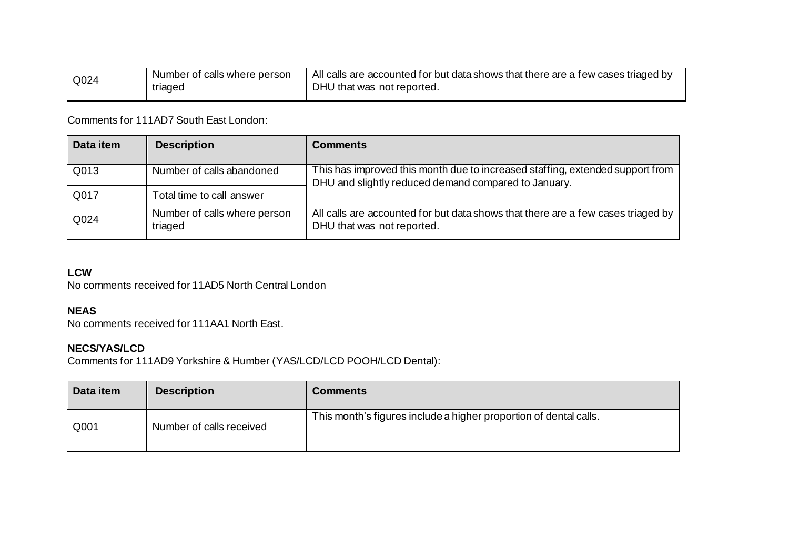| Q024 | Number of calls where person | $\mu$ All calls are accounted for but data shows that there are a few cases triaged by |
|------|------------------------------|----------------------------------------------------------------------------------------|
|      | triaged                      | DHU that was not reported.                                                             |

Comments for 111AD7 South East London:

| Data item | <b>Description</b>                      | <b>Comments</b>                                                                                                                       |
|-----------|-----------------------------------------|---------------------------------------------------------------------------------------------------------------------------------------|
| Q013      | Number of calls abandoned               | This has improved this month due to increased staffing, extended support from<br>DHU and slightly reduced demand compared to January. |
| Q017      | Total time to call answer               |                                                                                                                                       |
| Q024      | Number of calls where person<br>triaged | All calls are accounted for but data shows that there are a few cases triaged by<br>DHU that was not reported.                        |

#### **LCW**

No comments received for 11AD5 North Central London

### **NEAS**

No comments received for 111AA1 North East.

#### **NECS/YAS/LCD**

Comments for 111AD9 Yorkshire & Humber (YAS/LCD/LCD POOH/LCD Dental):

| Data item | <b>Description</b>       | <b>Comments</b>                                                   |
|-----------|--------------------------|-------------------------------------------------------------------|
| Q001      | Number of calls received | This month's figures include a higher proportion of dental calls. |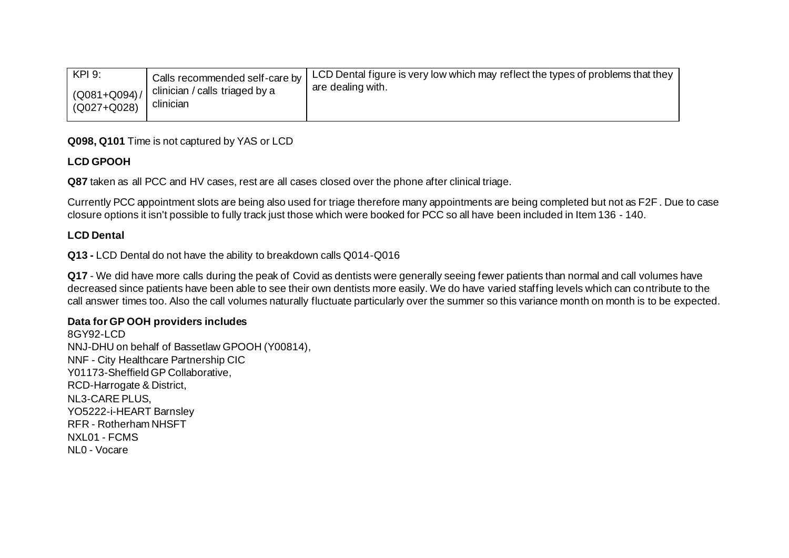| KPI 9:<br>Calls recommended self-care by<br>clinician / calls triaged by a<br>$(Q081 + Q094) /$<br>clinician<br>(Q027+Q028) | LCD Dental figure is very low which may reflect the types of problems that they<br>are dealing with. |
|-----------------------------------------------------------------------------------------------------------------------------|------------------------------------------------------------------------------------------------------|
|-----------------------------------------------------------------------------------------------------------------------------|------------------------------------------------------------------------------------------------------|

### **Q098, Q101** Time is not captured by YAS or LCD

### **LCD GPOOH**

**Q87** taken as all PCC and HV cases, rest are all cases closed over the phone after clinical triage.

Currently PCC appointment slots are being also used for triage therefore many appointments are being completed but not as F2F . Due to case closure options it isn't possible to fully track just those which were booked for PCC so all have been included in Item 136 - 140.

### **LCD Dental**

**Q13 -** LCD Dental do not have the ability to breakdown calls Q014-Q016

**Q17** - We did have more calls during the peak of Covid as dentists were generally seeing fewer patients than normal and call volumes have decreased since patients have been able to see their own dentists more easily. We do have varied staffing levels which can contribute to the call answer times too. Also the call volumes naturally fluctuate particularly over the summer so this variance month on month is to be expected.

### **Data for GP OOH providers includes**

8GY92-LCD NNJ-DHU on behalf of Bassetlaw GPOOH (Y00814), NNF - City Healthcare Partnership CIC Y01173-Sheffield GP Collaborative, RCD-Harrogate & District, NL3-CARE PLUS, YO5222-i-HEART Barnsley RFR - Rotherham NHSFT NXL01 - FCMS NL0 - Vocare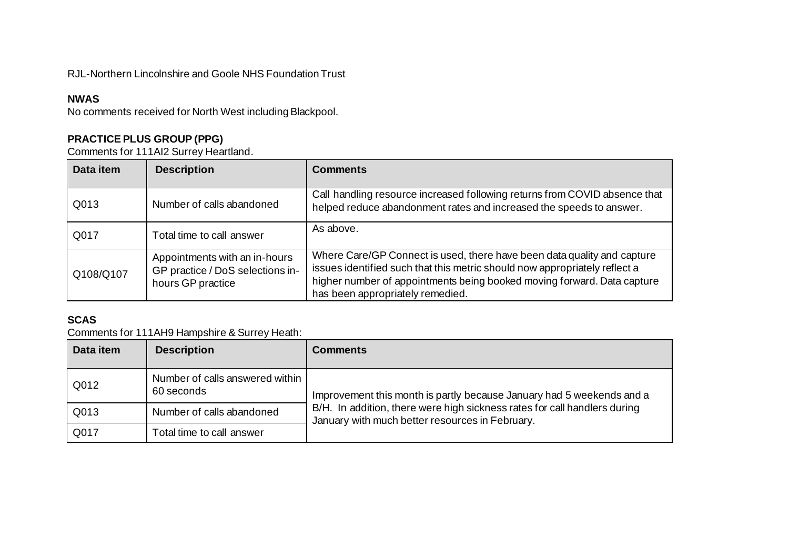# RJL-Northern Lincolnshire and Goole NHS Foundation Trust

### **NWAS**

No comments received for North West including Blackpool.

# **PRACTICE PLUS GROUP (PPG)**

Comments for 111AI2 Surrey Heartland.

| Data item | <b>Description</b>                                                                     | <b>Comments</b>                                                                                                                                                                                                                                                      |
|-----------|----------------------------------------------------------------------------------------|----------------------------------------------------------------------------------------------------------------------------------------------------------------------------------------------------------------------------------------------------------------------|
| Q013      | Number of calls abandoned                                                              | Call handling resource increased following returns from COVID absence that<br>helped reduce abandonment rates and increased the speeds to answer.                                                                                                                    |
| Q017      | Total time to call answer                                                              | As above.                                                                                                                                                                                                                                                            |
| Q108/Q107 | Appointments with an in-hours<br>GP practice / DoS selections in-<br>hours GP practice | Where Care/GP Connect is used, there have been data quality and capture<br>issues identified such that this metric should now appropriately reflect a<br>higher number of appointments being booked moving forward. Data capture<br>has been appropriately remedied. |

# **SCAS**

Comments for 111AH9 Hampshire & Surrey Heath:

| Data item | <b>Description</b>                            | <b>Comments</b>                                                                                                                                                                                       |
|-----------|-----------------------------------------------|-------------------------------------------------------------------------------------------------------------------------------------------------------------------------------------------------------|
| Q012      | Number of calls answered within<br>60 seconds | Improvement this month is partly because January had 5 weekends and a<br>B/H. In addition, there were high sickness rates for call handlers during<br>January with much better resources in February. |
| Q013      | Number of calls abandoned                     |                                                                                                                                                                                                       |
| Q017      | Total time to call answer                     |                                                                                                                                                                                                       |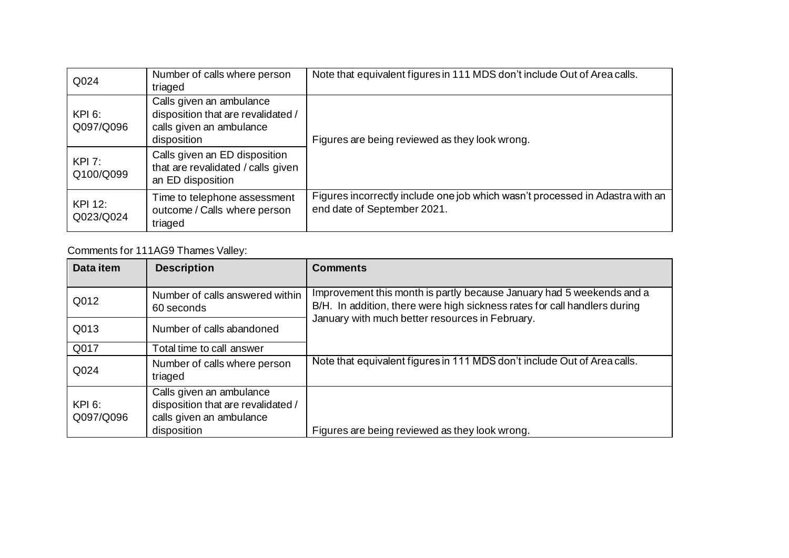| Q024                        | Number of calls where person<br>triaged                                                                   | Note that equivalent figures in 111 MDS don't include Out of Area calls.                                     |
|-----------------------------|-----------------------------------------------------------------------------------------------------------|--------------------------------------------------------------------------------------------------------------|
| <b>KPI 6:</b><br>Q097/Q096  | Calls given an ambulance<br>disposition that are revalidated /<br>calls given an ambulance<br>disposition | Figures are being reviewed as they look wrong.                                                               |
| KPI 7:<br>Q100/Q099         | Calls given an ED disposition<br>that are revalidated / calls given<br>an ED disposition                  |                                                                                                              |
| <b>KPI 12:</b><br>Q023/Q024 | Time to telephone assessment<br>outcome / Calls where person<br>triaged                                   | Figures incorrectly include one job which wasn't processed in Adastra with an<br>end date of September 2021. |

# Comments for 111AG9 Thames Valley:

| Data item                  | <b>Description</b>                                                                                        | <b>Comments</b>                                                                                                                                    |
|----------------------------|-----------------------------------------------------------------------------------------------------------|----------------------------------------------------------------------------------------------------------------------------------------------------|
| Q012                       | Number of calls answered within<br>60 seconds                                                             | Improvement this month is partly because January had 5 weekends and a<br>B/H. In addition, there were high sickness rates for call handlers during |
| Q013                       | Number of calls abandoned                                                                                 | January with much better resources in February.                                                                                                    |
| Q017                       | Total time to call answer                                                                                 |                                                                                                                                                    |
| Q024                       | Number of calls where person<br>triaged                                                                   | Note that equivalent figures in 111 MDS don't include Out of Area calls.                                                                           |
| <b>KPI 6:</b><br>Q097/Q096 | Calls given an ambulance<br>disposition that are revalidated /<br>calls given an ambulance<br>disposition | Figures are being reviewed as they look wrong.                                                                                                     |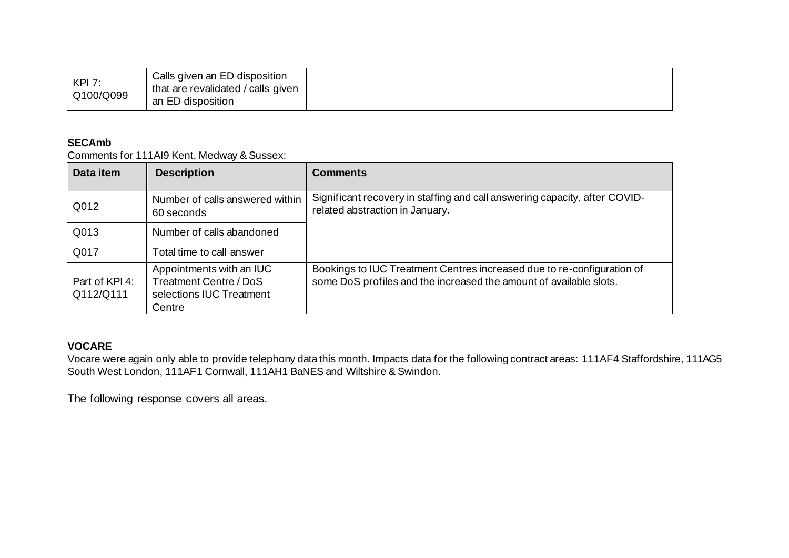#### **SECAmb**

Comments for 111AI9 Kent, Medway & Sussex:

| Data item                   | <b>Description</b>                                                                       | <b>Comments</b>                                                                                                                              |
|-----------------------------|------------------------------------------------------------------------------------------|----------------------------------------------------------------------------------------------------------------------------------------------|
| Q012                        | Number of calls answered within<br>60 seconds                                            | Significant recovery in staffing and call answering capacity, after COVID-<br>related abstraction in January.                                |
| Q013                        | Number of calls abandoned                                                                |                                                                                                                                              |
| Q017                        | Total time to call answer                                                                |                                                                                                                                              |
| Part of KPI 4:<br>Q112/Q111 | Appointments with an IUC<br>Treatment Centre / DoS<br>selections IUC Treatment<br>Centre | Bookings to IUC Treatment Centres increased due to re-configuration of<br>some DoS profiles and the increased the amount of available slots. |

# **VOCARE**

Vocare were again only able to provide telephony data this month. Impacts data for the following contract areas: 111AF4 Staffordshire, 111AG5 South West London, 111AF1 Cornwall, 111AH1 BaNES and Wiltshire & Swindon.

The following response covers all areas.